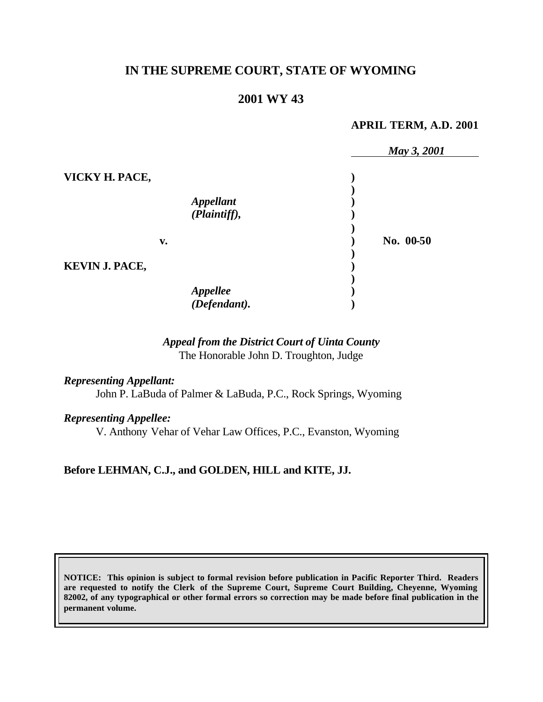# **IN THE SUPREME COURT, STATE OF WYOMING**

# **2001 WY 43**

#### **APRIL TERM, A.D. 2001**

|                       |                          | May 3, 2001 |
|-----------------------|--------------------------|-------------|
| VICKY H. PACE,        |                          |             |
|                       |                          |             |
|                       | Appellant                |             |
|                       | (Plaintiff),             |             |
|                       |                          |             |
| v.                    |                          | No. 00-50   |
|                       |                          |             |
| <b>KEVIN J. PACE,</b> |                          |             |
|                       |                          |             |
|                       |                          |             |
|                       | Appellee<br>(Defendant). |             |

### *Appeal from the District Court of Uinta County* The Honorable John D. Troughton, Judge

# *Representing Appellant:*

John P. LaBuda of Palmer & LaBuda, P.C., Rock Springs, Wyoming

#### *Representing Appellee:*

V. Anthony Vehar of Vehar Law Offices, P.C., Evanston, Wyoming

### **Before LEHMAN, C.J., and GOLDEN, HILL and KITE, JJ.**

**NOTICE: This opinion is subject to formal revision before publication in Pacific Reporter Third. Readers are requested to notify the Clerk of the Supreme Court, Supreme Court Building, Cheyenne, Wyoming 82002, of any typographical or other formal errors so correction may be made before final publication in the permanent volume.**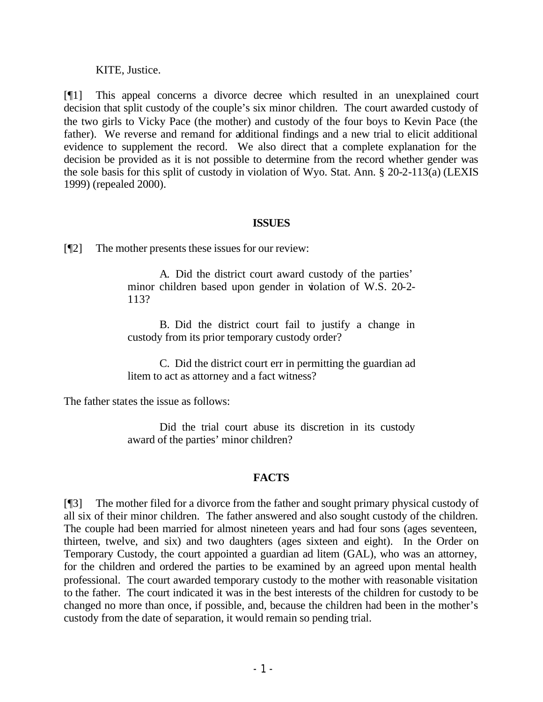### KITE, Justice.

[¶1] This appeal concerns a divorce decree which resulted in an unexplained court decision that split custody of the couple's six minor children. The court awarded custody of the two girls to Vicky Pace (the mother) and custody of the four boys to Kevin Pace (the father). We reverse and remand for additional findings and a new trial to elicit additional evidence to supplement the record. We also direct that a complete explanation for the decision be provided as it is not possible to determine from the record whether gender was the sole basis for this split of custody in violation of Wyo. Stat. Ann. § 20-2-113(a) (LEXIS 1999) (repealed 2000).

### **ISSUES**

[¶2] The mother presents these issues for our review:

A. Did the district court award custody of the parties' minor children based upon gender in violation of W.S. 20-2-113?

B. Did the district court fail to justify a change in custody from its prior temporary custody order?

C. Did the district court err in permitting the guardian ad litem to act as attorney and a fact witness?

The father states the issue as follows:

Did the trial court abuse its discretion in its custody award of the parties' minor children?

### **FACTS**

[¶3] The mother filed for a divorce from the father and sought primary physical custody of all six of their minor children. The father answered and also sought custody of the children. The couple had been married for almost nineteen years and had four sons (ages seventeen, thirteen, twelve, and six) and two daughters (ages sixteen and eight). In the Order on Temporary Custody, the court appointed a guardian ad litem (GAL), who was an attorney, for the children and ordered the parties to be examined by an agreed upon mental health professional. The court awarded temporary custody to the mother with reasonable visitation to the father. The court indicated it was in the best interests of the children for custody to be changed no more than once, if possible, and, because the children had been in the mother's custody from the date of separation, it would remain so pending trial.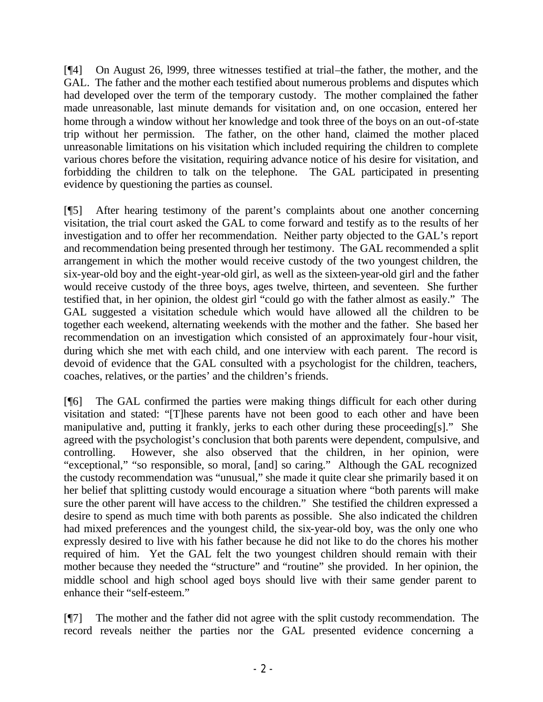[¶4] On August 26, l999, three witnesses testified at trial–the father, the mother, and the GAL. The father and the mother each testified about numerous problems and disputes which had developed over the term of the temporary custody. The mother complained the father made unreasonable, last minute demands for visitation and, on one occasion, entered her home through a window without her knowledge and took three of the boys on an out-of-state trip without her permission. The father, on the other hand, claimed the mother placed unreasonable limitations on his visitation which included requiring the children to complete various chores before the visitation, requiring advance notice of his desire for visitation, and forbidding the children to talk on the telephone. The GAL participated in presenting evidence by questioning the parties as counsel.

[¶5] After hearing testimony of the parent's complaints about one another concerning visitation, the trial court asked the GAL to come forward and testify as to the results of her investigation and to offer her recommendation. Neither party objected to the GAL's report and recommendation being presented through her testimony. The GAL recommended a split arrangement in which the mother would receive custody of the two youngest children, the six-year-old boy and the eight-year-old girl, as well as the sixteen-year-old girl and the father would receive custody of the three boys, ages twelve, thirteen, and seventeen. She further testified that, in her opinion, the oldest girl "could go with the father almost as easily." The GAL suggested a visitation schedule which would have allowed all the children to be together each weekend, alternating weekends with the mother and the father. She based her recommendation on an investigation which consisted of an approximately four-hour visit, during which she met with each child, and one interview with each parent. The record is devoid of evidence that the GAL consulted with a psychologist for the children, teachers, coaches, relatives, or the parties' and the children's friends.

[¶6] The GAL confirmed the parties were making things difficult for each other during visitation and stated: "[T]hese parents have not been good to each other and have been manipulative and, putting it frankly, jerks to each other during these proceeding[s]." She agreed with the psychologist's conclusion that both parents were dependent, compulsive, and controlling. However, she also observed that the children, in her opinion, were "exceptional," "so responsible, so moral, [and] so caring." Although the GAL recognized the custody recommendation was "unusual," she made it quite clear she primarily based it on her belief that splitting custody would encourage a situation where "both parents will make sure the other parent will have access to the children." She testified the children expressed a desire to spend as much time with both parents as possible. She also indicated the children had mixed preferences and the youngest child, the six-year-old boy, was the only one who expressly desired to live with his father because he did not like to do the chores his mother required of him. Yet the GAL felt the two youngest children should remain with their mother because they needed the "structure" and "routine" she provided. In her opinion, the middle school and high school aged boys should live with their same gender parent to enhance their "self-esteem."

[¶7] The mother and the father did not agree with the split custody recommendation. The record reveals neither the parties nor the GAL presented evidence concerning a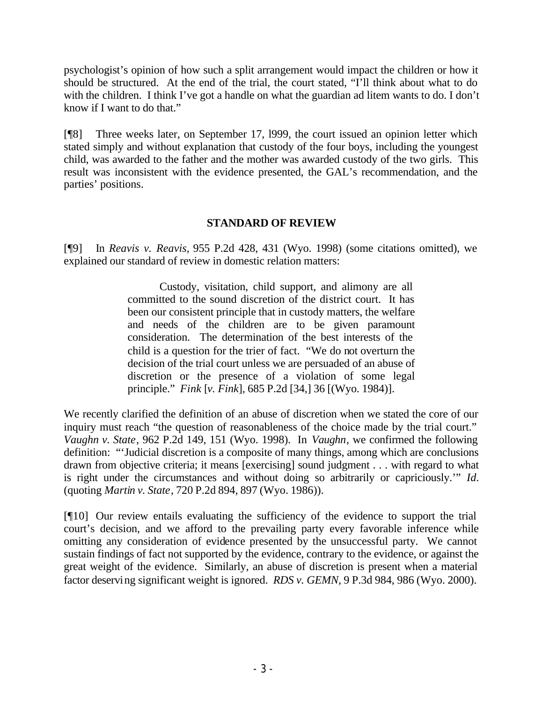psychologist's opinion of how such a split arrangement would impact the children or how it should be structured. At the end of the trial, the court stated, "I'll think about what to do with the children. I think I've got a handle on what the guardian ad litem wants to do. I don't know if I want to do that."

[¶8] Three weeks later, on September 17, l999, the court issued an opinion letter which stated simply and without explanation that custody of the four boys, including the youngest child, was awarded to the father and the mother was awarded custody of the two girls. This result was inconsistent with the evidence presented, the GAL's recommendation, and the parties' positions.

### **STANDARD OF REVIEW**

[¶9] In *Reavis v. Reavis,* 955 P.2d 428, 431 (Wyo. 1998) (some citations omitted), we explained our standard of review in domestic relation matters:

> Custody, visitation, child support, and alimony are all committed to the sound discretion of the district court. It has been our consistent principle that in custody matters, the welfare and needs of the children are to be given paramount consideration. The determination of the best interests of the child is a question for the trier of fact. "We do not overturn the decision of the trial court unless we are persuaded of an abuse of discretion or the presence of a violation of some legal principle." *Fink* [*v. Fink*], 685 P.2d [34,] 36 [(Wyo. 1984)].

We recently clarified the definition of an abuse of discretion when we stated the core of our inquiry must reach "the question of reasonableness of the choice made by the trial court." *Vaughn v. State*, 962 P.2d 149, 151 (Wyo. 1998). In *Vaughn*, we confirmed the following definition: "'Judicial discretion is a composite of many things, among which are conclusions drawn from objective criteria; it means [exercising] sound judgment . . . with regard to what is right under the circumstances and without doing so arbitrarily or capriciously.'" *Id.* (quoting *Martin v. State*, 720 P.2d 894, 897 (Wyo. 1986)).

[¶10] Our review entails evaluating the sufficiency of the evidence to support the trial court's decision, and we afford to the prevailing party every favorable inference while omitting any consideration of evidence presented by the unsuccessful party. We cannot sustain findings of fact not supported by the evidence, contrary to the evidence, or against the great weight of the evidence. Similarly, an abuse of discretion is present when a material factor deserving significant weight is ignored. *RDS v. GEMN*, 9 P.3d 984, 986 (Wyo. 2000).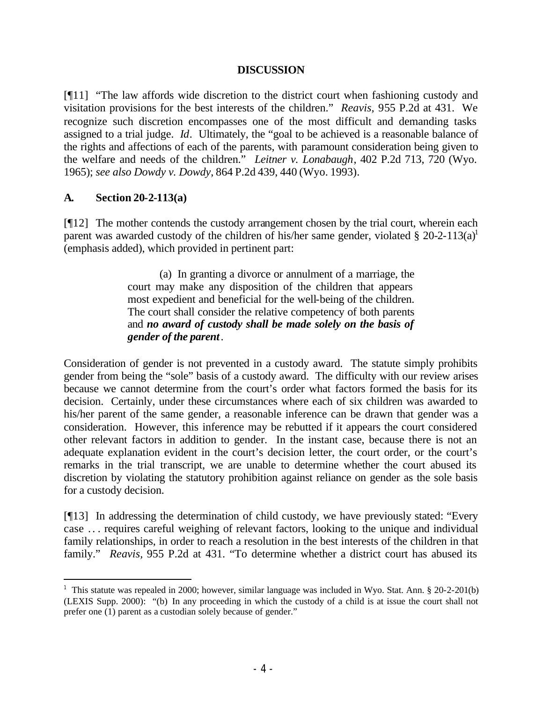### **DISCUSSION**

[¶11] "The law affords wide discretion to the district court when fashioning custody and visitation provisions for the best interests of the children." *Reavis,* 955 P.2d at 431. We recognize such discretion encompasses one of the most difficult and demanding tasks assigned to a trial judge. *Id*. Ultimately, the "goal to be achieved is a reasonable balance of the rights and affections of each of the parents, with paramount consideration being given to the welfare and needs of the children." *Leitner v. Lonabaugh*, 402 P.2d 713, 720 (Wyo. 1965); *see also Dowdy v. Dowdy*, 864 P.2d 439, 440 (Wyo. 1993).

### **A. Section 20-2-113(a)**

[¶12] The mother contends the custody arrangement chosen by the trial court, wherein each parent was awarded custody of the children of his/her same gender, violated  $\S 20$ -2-113(a)<sup>1</sup> (emphasis added), which provided in pertinent part:

> (a) In granting a divorce or annulment of a marriage, the court may make any disposition of the children that appears most expedient and beneficial for the well-being of the children. The court shall consider the relative competency of both parents and *no award of custody shall be made solely on the basis of gender of the parent*.

Consideration of gender is not prevented in a custody award. The statute simply prohibits gender from being the "sole" basis of a custody award. The difficulty with our review arises because we cannot determine from the court's order what factors formed the basis for its decision. Certainly, under these circumstances where each of six children was awarded to his/her parent of the same gender, a reasonable inference can be drawn that gender was a consideration. However, this inference may be rebutted if it appears the court considered other relevant factors in addition to gender. In the instant case, because there is not an adequate explanation evident in the court's decision letter, the court order, or the court's remarks in the trial transcript, we are unable to determine whether the court abused its discretion by violating the statutory prohibition against reliance on gender as the sole basis for a custody decision.

[¶13] In addressing the determination of child custody, we have previously stated: "Every case . . . requires careful weighing of relevant factors, looking to the unique and individual family relationships, in order to reach a resolution in the best interests of the children in that family." *Reavis*, 955 P.2d at 431. "To determine whether a district court has abused its

<sup>&</sup>lt;sup>1</sup> This statute was repealed in 2000; however, similar language was included in Wyo. Stat. Ann. § 20-2-201(b) (LEXIS Supp. 2000): "(b) In any proceeding in which the custody of a child is at issue the court shall not prefer one (1) parent as a custodian solely because of gender."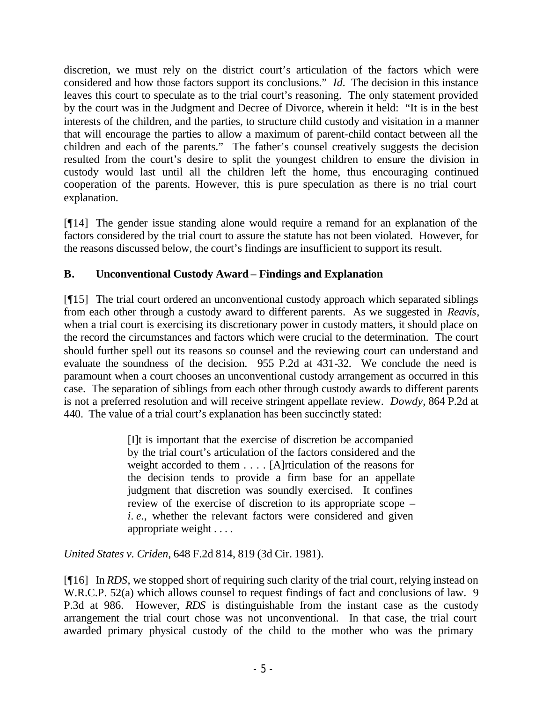discretion, we must rely on the district court's articulation of the factors which were considered and how those factors support its conclusions." *Id.* The decision in this instance leaves this court to speculate as to the trial court's reasoning. The only statement provided by the court was in the Judgment and Decree of Divorce, wherein it held: "It is in the best interests of the children, and the parties, to structure child custody and visitation in a manner that will encourage the parties to allow a maximum of parent-child contact between all the children and each of the parents." The father's counsel creatively suggests the decision resulted from the court's desire to split the youngest children to ensure the division in custody would last until all the children left the home, thus encouraging continued cooperation of the parents. However, this is pure speculation as there is no trial court explanation.

[¶14] The gender issue standing alone would require a remand for an explanation of the factors considered by the trial court to assure the statute has not been violated. However, for the reasons discussed below, the court's findings are insufficient to support its result.

# **B. Unconventional Custody Award – Findings and Explanation**

[¶15] The trial court ordered an unconventional custody approach which separated siblings from each other through a custody award to different parents. As we suggested in *Reavis*, when a trial court is exercising its discretionary power in custody matters, it should place on the record the circumstances and factors which were crucial to the determination. The court should further spell out its reasons so counsel and the reviewing court can understand and evaluate the soundness of the decision. 955 P.2d at 431-32. We conclude the need is paramount when a court chooses an unconventional custody arrangement as occurred in this case. The separation of siblings from each other through custody awards to different parents is not a preferred resolution and will receive stringent appellate review. *Dowdy*, 864 P.2d at 440. The value of a trial court's explanation has been succinctly stated:

> [I]t is important that the exercise of discretion be accompanied by the trial court's articulation of the factors considered and the weight accorded to them . . . . [A]rticulation of the reasons for the decision tends to provide a firm base for an appellate judgment that discretion was soundly exercised. It confines review of the exercise of discretion to its appropriate scope – *i. e.,* whether the relevant factors were considered and given appropriate weight . . . .

*United States v. Criden*, 648 F.2d 814, 819 (3d Cir. 1981).

[¶16] In *RDS*, we stopped short of requiring such clarity of the trial court, relying instead on W.R.C.P. 52(a) which allows counsel to request findings of fact and conclusions of law. 9 P.3d at 986. However, *RDS* is distinguishable from the instant case as the custody arrangement the trial court chose was not unconventional. In that case, the trial court awarded primary physical custody of the child to the mother who was the primary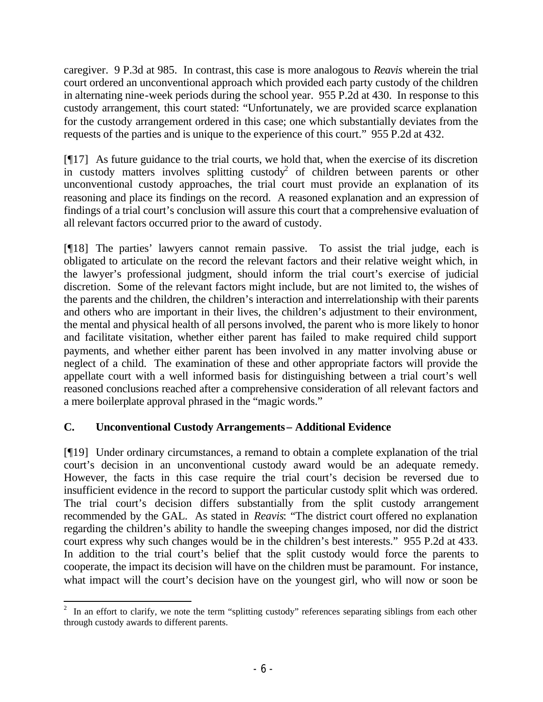caregiver. 9 P.3d at 985. In contrast, this case is more analogous to *Reavis* wherein the trial court ordered an unconventional approach which provided each party custody of the children in alternating nine-week periods during the school year. 955 P.2d at 430. In response to this custody arrangement, this court stated: "Unfortunately, we are provided scarce explanation for the custody arrangement ordered in this case; one which substantially deviates from the requests of the parties and is unique to the experience of this court." 955 P.2d at 432.

[¶17] As future guidance to the trial courts, we hold that, when the exercise of its discretion in custody matters involves splitting custody<sup>2</sup> of children between parents or other unconventional custody approaches, the trial court must provide an explanation of its reasoning and place its findings on the record. A reasoned explanation and an expression of findings of a trial court's conclusion will assure this court that a comprehensive evaluation of all relevant factors occurred prior to the award of custody.

[¶18] The parties' lawyers cannot remain passive. To assist the trial judge, each is obligated to articulate on the record the relevant factors and their relative weight which, in the lawyer's professional judgment, should inform the trial court's exercise of judicial discretion. Some of the relevant factors might include, but are not limited to, the wishes of the parents and the children, the children's interaction and interrelationship with their parents and others who are important in their lives, the children's adjustment to their environment, the mental and physical health of all persons involved, the parent who is more likely to honor and facilitate visitation, whether either parent has failed to make required child support payments, and whether either parent has been involved in any matter involving abuse or neglect of a child. The examination of these and other appropriate factors will provide the appellate court with a well informed basis for distinguishing between a trial court's well reasoned conclusions reached after a comprehensive consideration of all relevant factors and a mere boilerplate approval phrased in the "magic words."

# **C. Unconventional Custody Arrangements – Additional Evidence**

[¶19] Under ordinary circumstances, a remand to obtain a complete explanation of the trial court's decision in an unconventional custody award would be an adequate remedy. However, the facts in this case require the trial court's decision be reversed due to insufficient evidence in the record to support the particular custody split which was ordered. The trial court's decision differs substantially from the split custody arrangement recommended by the GAL. As stated in *Reavis*: "The district court offered no explanation regarding the children's ability to handle the sweeping changes imposed, nor did the district court express why such changes would be in the children's best interests." 955 P.2d at 433. In addition to the trial court's belief that the split custody would force the parents to cooperate, the impact its decision will have on the children must be paramount. For instance, what impact will the court's decision have on the youngest girl, who will now or soon be

<sup>&</sup>lt;sup>2</sup> In an effort to clarify, we note the term "splitting custody" references separating siblings from each other through custody awards to different parents.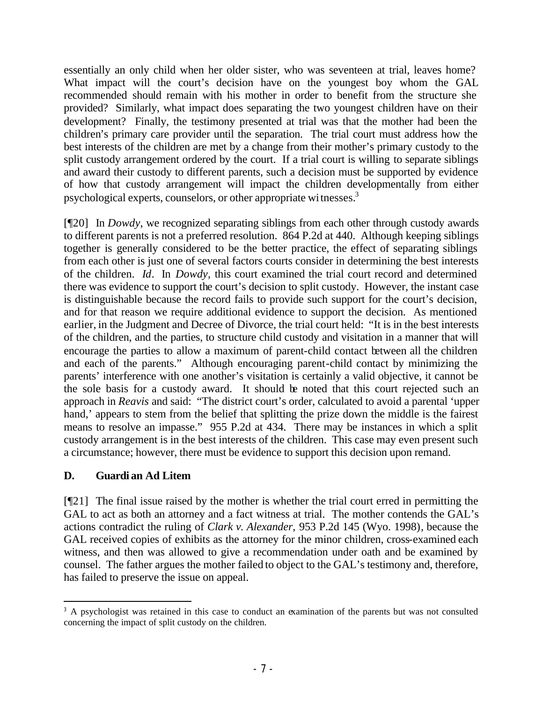essentially an only child when her older sister, who was seventeen at trial, leaves home? What impact will the court's decision have on the youngest boy whom the GAL recommended should remain with his mother in order to benefit from the structure she provided? Similarly, what impact does separating the two youngest children have on their development? Finally, the testimony presented at trial was that the mother had been the children's primary care provider until the separation. The trial court must address how the best interests of the children are met by a change from their mother's primary custody to the split custody arrangement ordered by the court. If a trial court is willing to separate siblings and award their custody to different parents, such a decision must be supported by evidence of how that custody arrangement will impact the children developmentally from either psychological experts, counselors, or other appropriate witnesses.<sup>3</sup>

[¶20] In *Dowdy*, we recognized separating siblings from each other through custody awards to different parents is not a preferred resolution. 864 P.2d at 440. Although keeping siblings together is generally considered to be the better practice, the effect of separating siblings from each other is just one of several factors courts consider in determining the best interests of the children. *Id*. In *Dowdy,* this court examined the trial court record and determined there was evidence to support the court's decision to split custody. However, the instant case is distinguishable because the record fails to provide such support for the court's decision, and for that reason we require additional evidence to support the decision. As mentioned earlier, in the Judgment and Decree of Divorce, the trial court held: "It is in the best interests of the children, and the parties, to structure child custody and visitation in a manner that will encourage the parties to allow a maximum of parent-child contact between all the children and each of the parents." Although encouraging parent-child contact by minimizing the parents' interference with one another's visitation is certainly a valid objective, it cannot be the sole basis for a custody award. It should be noted that this court rejected such an approach in *Reavis* and said: "The district court's order, calculated to avoid a parental 'upper hand,' appears to stem from the belief that splitting the prize down the middle is the fairest means to resolve an impasse." 955 P.2d at 434. There may be instances in which a split custody arrangement is in the best interests of the children. This case may even present such a circumstance; however, there must be evidence to support this decision upon remand.

# **D. Guardi an Ad Litem**

[¶21] The final issue raised by the mother is whether the trial court erred in permitting the GAL to act as both an attorney and a fact witness at trial. The mother contends the GAL's actions contradict the ruling of *Clark v. Alexander,* 953 P.2d 145 (Wyo. 1998)*,* because the GAL received copies of exhibits as the attorney for the minor children, cross-examined each witness, and then was allowed to give a recommendation under oath and be examined by counsel. The father argues the mother failed to object to the GAL's testimony and, therefore, has failed to preserve the issue on appeal.

<sup>&</sup>lt;sup>3</sup> A psychologist was retained in this case to conduct an examination of the parents but was not consulted concerning the impact of split custody on the children.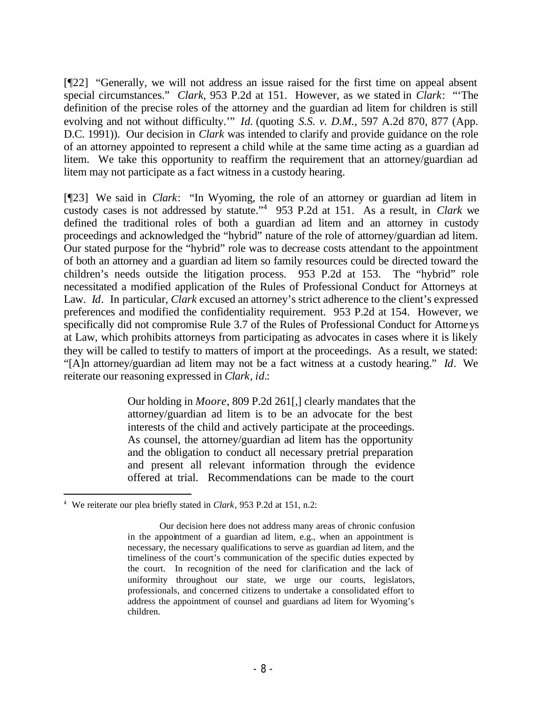[¶22] "Generally, we will not address an issue raised for the first time on appeal absent special circumstances." *Clark,* 953 P.2d at 151. However, as we stated in *Clark*: "'The definition of the precise roles of the attorney and the guardian ad litem for children is still evolving and not without difficulty.'" *Id.* (quoting *S.S. v. D.M.*, 597 A.2d 870, 877 (App. D.C. 1991)). Our decision in *Clark* was intended to clarify and provide guidance on the role of an attorney appointed to represent a child while at the same time acting as a guardian ad litem. We take this opportunity to reaffirm the requirement that an attorney/guardian ad litem may not participate as a fact witness in a custody hearing.

[¶23] We said in *Clark*: "In Wyoming, the role of an attorney or guardian ad litem in custody cases is not addressed by statute."<sup>4</sup> 953 P.2d at 151. As a result, in *Clark* we defined the traditional roles of both a guardian ad litem and an attorney in custody proceedings and acknowledged the "hybrid" nature of the role of attorney/guardian ad litem. Our stated purpose for the "hybrid" role was to decrease costs attendant to the appointment of both an attorney and a guardian ad litem so family resources could be directed toward the children's needs outside the litigation process. 953 P.2d at 153. The "hybrid" role necessitated a modified application of the Rules of Professional Conduct for Attorneys at Law. *Id*. In particular, *Clark* excused an attorney's strict adherence to the client's expressed preferences and modified the confidentiality requirement. 953 P.2d at 154. However, we specifically did not compromise Rule 3.7 of the Rules of Professional Conduct for Attorneys at Law, which prohibits attorneys from participating as advocates in cases where it is likely they will be called to testify to matters of import at the proceedings. As a result, we stated: "[A]n attorney/guardian ad litem may not be a fact witness at a custody hearing." *Id*. We reiterate our reasoning expressed in *Clark*, *id.*:

> Our holding in *Moore*, 809 P.2d 261[,] clearly mandates that the attorney/guardian ad litem is to be an advocate for the best interests of the child and actively participate at the proceedings. As counsel, the attorney/guardian ad litem has the opportunity and the obligation to conduct all necessary pretrial preparation and present all relevant information through the evidence offered at trial. Recommendations can be made to the court

<sup>4</sup> We reiterate our plea briefly stated in *Clark*, 953 P.2d at 151, n.2:

Our decision here does not address many areas of chronic confusion in the appointment of a guardian ad litem, e.g., when an appointment is necessary, the necessary qualifications to serve as guardian ad litem, and the timeliness of the court's communication of the specific duties expected by the court. In recognition of the need for clarification and the lack of uniformity throughout our state, we urge our courts, legislators, professionals, and concerned citizens to undertake a consolidated effort to address the appointment of counsel and guardians ad litem for Wyoming's children.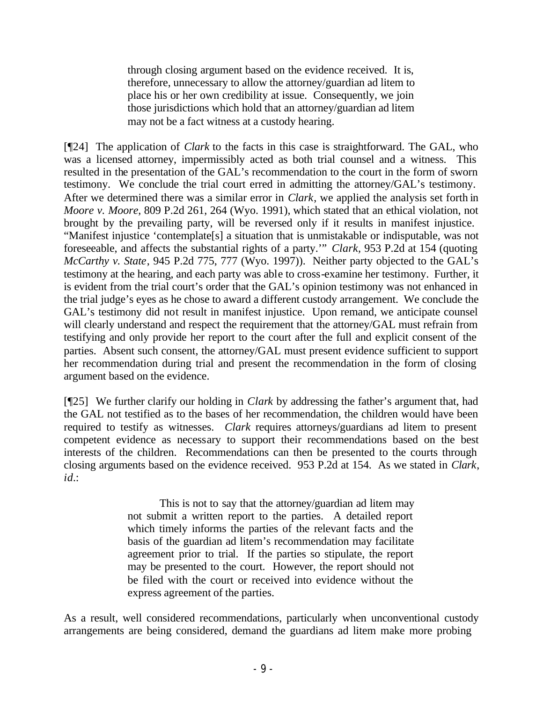through closing argument based on the evidence received. It is, therefore, unnecessary to allow the attorney/guardian ad litem to place his or her own credibility at issue. Consequently, we join those jurisdictions which hold that an attorney/guardian ad litem may not be a fact witness at a custody hearing.

[¶24] The application of *Clark* to the facts in this case is straightforward. The GAL, who was a licensed attorney, impermissibly acted as both trial counsel and a witness. This resulted in the presentation of the GAL's recommendation to the court in the form of sworn testimony. We conclude the trial court erred in admitting the attorney/GAL's testimony. After we determined there was a similar error in *Clark*, we applied the analysis set forth in *Moore v. Moore*, 809 P.2d 261, 264 (Wyo. 1991), which stated that an ethical violation, not brought by the prevailing party, will be reversed only if it results in manifest injustice. "Manifest injustice 'contemplate[s] a situation that is unmistakable or indisputable, was not foreseeable, and affects the substantial rights of a party.'" *Clark,* 953 P.2d at 154 (quoting *McCarthy v. State*, 945 P.2d 775, 777 (Wyo. 1997)). Neither party objected to the GAL's testimony at the hearing, and each party was able to cross-examine her testimony. Further, it is evident from the trial court's order that the GAL's opinion testimony was not enhanced in the trial judge's eyes as he chose to award a different custody arrangement. We conclude the GAL's testimony did not result in manifest injustice. Upon remand, we anticipate counsel will clearly understand and respect the requirement that the attorney/GAL must refrain from testifying and only provide her report to the court after the full and explicit consent of the parties. Absent such consent, the attorney/GAL must present evidence sufficient to support her recommendation during trial and present the recommendation in the form of closing argument based on the evidence.

[¶25] We further clarify our holding in *Clark* by addressing the father's argument that, had the GAL not testified as to the bases of her recommendation, the children would have been required to testify as witnesses. *Clark* requires attorneys/guardians ad litem to present competent evidence as necessary to support their recommendations based on the best interests of the children. Recommendations can then be presented to the courts through closing arguments based on the evidence received. 953 P.2d at 154. As we stated in *Clark*, *id.*:

> This is not to say that the attorney/guardian ad litem may not submit a written report to the parties. A detailed report which timely informs the parties of the relevant facts and the basis of the guardian ad litem's recommendation may facilitate agreement prior to trial. If the parties so stipulate, the report may be presented to the court. However, the report should not be filed with the court or received into evidence without the express agreement of the parties.

As a result, well considered recommendations, particularly when unconventional custody arrangements are being considered, demand the guardians ad litem make more probing